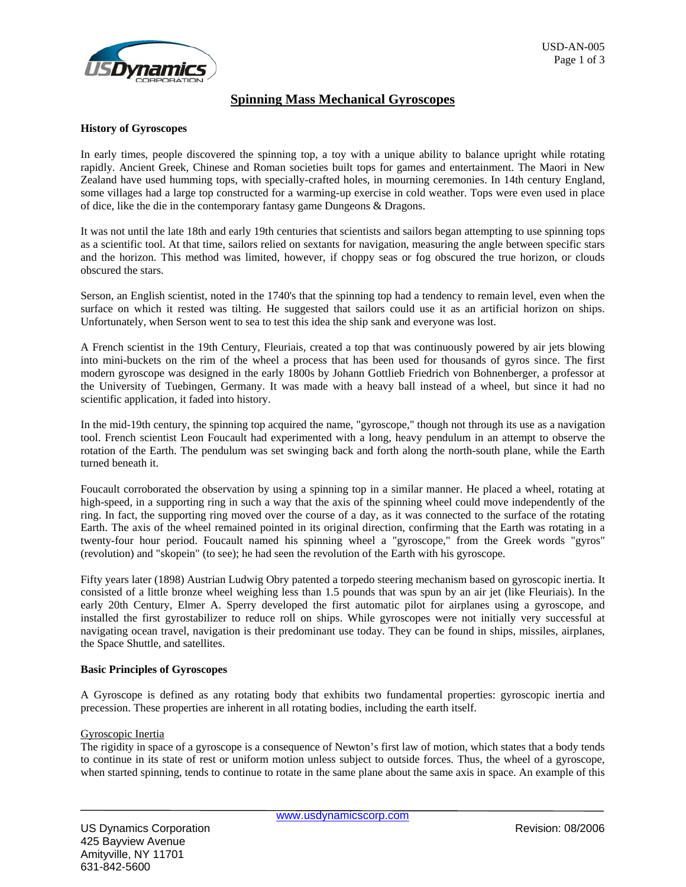

# **Spinning Mass Mechanical Gyroscopes**

### **History of Gyroscopes**

In early times, people discovered the spinning top, a toy with a unique ability to balance upright while rotating rapidly. Ancient Greek, Chinese and Roman societies built tops for games and entertainment. The Maori in New Zealand have used humming tops, with specially-crafted holes, in mourning ceremonies. In 14th century England, some villages had a large top constructed for a warming-up exercise in cold weather. Tops were even used in place of dice, like the die in the contemporary fantasy game Dungeons & Dragons.

It was not until the late 18th and early 19th centuries that scientists and sailors began attempting to use spinning tops as a scientific tool. At that time, sailors relied on sextants for navigation, measuring the angle between specific stars and the horizon. This method was limited, however, if choppy seas or fog obscured the true horizon, or clouds obscured the stars.

Serson, an English scientist, noted in the 1740's that the spinning top had a tendency to remain level, even when the surface on which it rested was tilting. He suggested that sailors could use it as an artificial horizon on ships. Unfortunately, when Serson went to sea to test this idea the ship sank and everyone was lost.

A French scientist in the 19th Century, Fleuriais, created a top that was continuously powered by air jets blowing into mini-buckets on the rim of the wheel a process that has been used for thousands of gyros since. The first modern gyroscope was designed in the early 1800s by Johann Gottlieb Friedrich von Bohnenberger, a professor at the University of Tuebingen, Germany. It was made with a heavy ball instead of a wheel, but since it had no scientific application, it faded into history.

In the mid-19th century, the spinning top acquired the name, "gyroscope," though not through its use as a navigation tool. French scientist Leon Foucault had experimented with a long, heavy pendulum in an attempt to observe the rotation of the Earth. The pendulum was set swinging back and forth along the north-south plane, while the Earth turned beneath it.

Foucault corroborated the observation by using a spinning top in a similar manner. He placed a wheel, rotating at high-speed, in a supporting ring in such a way that the axis of the spinning wheel could move independently of the ring. In fact, the supporting ring moved over the course of a day, as it was connected to the surface of the rotating Earth. The axis of the wheel remained pointed in its original direction, confirming that the Earth was rotating in a twenty-four hour period. Foucault named his spinning wheel a "gyroscope," from the Greek words "gyros" (revolution) and "skopein" (to see); he had seen the revolution of the Earth with his gyroscope.

Fifty years later (1898) Austrian Ludwig Obry patented a torpedo steering mechanism based on gyroscopic inertia. It consisted of a little bronze wheel weighing less than 1.5 pounds that was spun by an air jet (like Fleuriais). In the early 20th Century, Elmer A. Sperry developed the first automatic pilot for airplanes using a gyroscope, and installed the first gyrostabilizer to reduce roll on ships. While gyroscopes were not initially very successful at navigating ocean travel, navigation is their predominant use today. They can be found in ships, missiles, airplanes, the Space Shuttle, and satellites.

#### **Basic Principles of Gyroscopes**

A Gyroscope is defined as any rotating body that exhibits two fundamental properties: gyroscopic inertia and precession. These properties are inherent in all rotating bodies, including the earth itself.

#### Gyroscopic Inertia

The rigidity in space of a gyroscope is a consequence of Newton's first law of motion, which states that a body tends to continue in its state of rest or uniform motion unless subject to outside forces. Thus, the wheel of a gyroscope, when started spinning, tends to continue to rotate in the same plane about the same axis in space. An example of this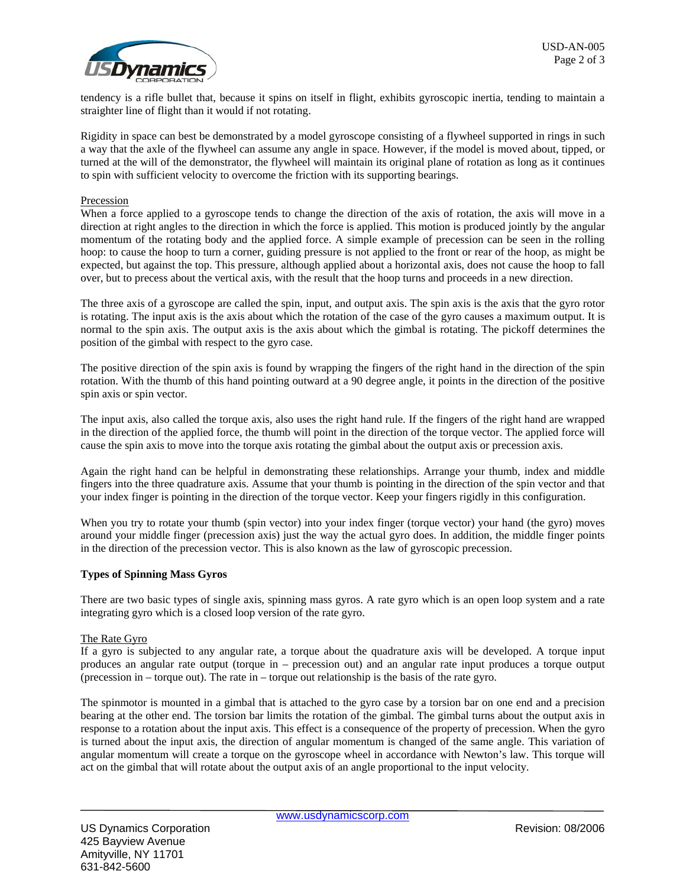tendency is a rifle bullet that, because it spins on itself in flight, exhibits gyroscopic inertia, tending to maintain a straighter line of flight than it would if not rotating.

Rigidity in space can best be demonstrated by a model gyroscope consisting of a flywheel supported in rings in such a way that the axle of the flywheel can assume any angle in space. However, if the model is moved about, tipped, or turned at the will of the demonstrator, the flywheel will maintain its original plane of rotation as long as it continues to spin with sufficient velocity to overcome the friction with its supporting bearings.

## Precession

When a force applied to a gyroscope tends to change the direction of the axis of rotation, the axis will move in a direction at right angles to the direction in which the force is applied. This motion is produced jointly by the angular momentum of the rotating body and the applied force. A simple example of precession can be seen in the rolling hoop: to cause the hoop to turn a corner, guiding pressure is not applied to the front or rear of the hoop, as might be expected, but against the top. This pressure, although applied about a horizontal axis, does not cause the hoop to fall over, but to precess about the vertical axis, with the result that the hoop turns and proceeds in a new direction.

The three axis of a gyroscope are called the spin, input, and output axis. The spin axis is the axis that the gyro rotor is rotating. The input axis is the axis about which the rotation of the case of the gyro causes a maximum output. It is normal to the spin axis. The output axis is the axis about which the gimbal is rotating. The pickoff determines the position of the gimbal with respect to the gyro case.

The positive direction of the spin axis is found by wrapping the fingers of the right hand in the direction of the spin rotation. With the thumb of this hand pointing outward at a 90 degree angle, it points in the direction of the positive spin axis or spin vector.

The input axis, also called the torque axis, also uses the right hand rule. If the fingers of the right hand are wrapped in the direction of the applied force, the thumb will point in the direction of the torque vector. The applied force will cause the spin axis to move into the torque axis rotating the gimbal about the output axis or precession axis.

Again the right hand can be helpful in demonstrating these relationships. Arrange your thumb, index and middle fingers into the three quadrature axis. Assume that your thumb is pointing in the direction of the spin vector and that your index finger is pointing in the direction of the torque vector. Keep your fingers rigidly in this configuration.

When you try to rotate your thumb (spin vector) into your index finger (torque vector) your hand (the gyro) moves around your middle finger (precession axis) just the way the actual gyro does. In addition, the middle finger points in the direction of the precession vector. This is also known as the law of gyroscopic precession.

## **Types of Spinning Mass Gyros**

There are two basic types of single axis, spinning mass gyros. A rate gyro which is an open loop system and a rate integrating gyro which is a closed loop version of the rate gyro.

#### The Rate Gyro

If a gyro is subjected to any angular rate, a torque about the quadrature axis will be developed. A torque input produces an angular rate output (torque in – precession out) and an angular rate input produces a torque output (precession in – torque out). The rate in – torque out relationship is the basis of the rate gyro.

The spinmotor is mounted in a gimbal that is attached to the gyro case by a torsion bar on one end and a precision bearing at the other end. The torsion bar limits the rotation of the gimbal. The gimbal turns about the output axis in response to a rotation about the input axis. This effect is a consequence of the property of precession. When the gyro is turned about the input axis, the direction of angular momentum is changed of the same angle. This variation of angular momentum will create a torque on the gyroscope wheel in accordance with Newton's law. This torque will act on the gimbal that will rotate about the output axis of an angle proportional to the input velocity.